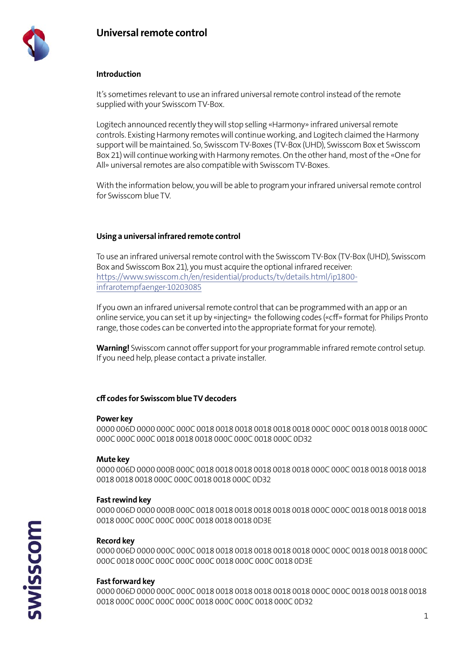

# **Introduction**

It's sometimes relevant to use an infrared universal remote control instead of the remote supplied with your Swisscom TV-Box.

Logitech announced recently they will stop selling «Harmony» infrared universal remote controls. Existing Harmony remotes will continue working, and Logitech claimed the Harmony support will be maintained. So, Swisscom TV-Boxes (TV-Box (UHD), Swisscom Box et Swisscom Box 21) will continue working with Harmony remotes. On the other hand, most of the «One for All» universal remotes are also compatible with Swisscom TV-Boxes.

With the information below, you will be able to program your infrared universal remote control for Swisscom blue TV.

# **Using a universal infrared remote control**

To use an infrared universal remote control with the Swisscom TV-Box (TV-Box (UHD), Swisscom Box and Swisscom Box 21), you must acquire the optional infrared receiver: [https://www.swisscom.ch/en/residential/products/tv/details.html/ip1800](https://www.swisscom.ch/en/residential/products/tv/details.html/ip1800-infrarotempfaenger-10203085) [infrarotempfaenger-10203085](https://www.swisscom.ch/en/residential/products/tv/details.html/ip1800-infrarotempfaenger-10203085)

If you own an infrared universal remote control that can be programmed with an app or an online service, you can set it up by «injecting» the following codes («cff» format for Philips Pronto range, those codes can be converted into the appropriate format for your remote).

**Warning!** Swisscom cannot offer support for your programmable infrared remote control setup. If you need help, please contact a private installer.

# **cff codes for Swisscom blue TV decoders**

#### **Power key**

0000 006D 0000 000C 000C 0018 0018 0018 0018 0018 0018 000C 000C 0018 0018 0018 000C 000C 000C 000C 0018 0018 0018 000C 000C 0018 000C 0D32

# **Mute key**

0000 006D 0000 000B 000C 0018 0018 0018 0018 0018 0018 000C 000C 0018 0018 0018 0018 0018 0018 0018 000C 000C 0018 0018 000C 0D32

# **Fast rewind key**

0000 006D 0000 000B 000C 0018 0018 0018 0018 0018 0018 000C 000C 0018 0018 0018 0018 0018 000C 000C 000C 000C 0018 0018 0018 0D3E

# **Record key**

0000 006D 0000 000C 000C 0018 0018 0018 0018 0018 0018 000C 000C 0018 0018 0018 000C 000C 0018 000C 000C 000C 000C 0018 000C 000C 0018 0D3E

# **Fast forward key**

0000 006D 0000 000C 000C 0018 0018 0018 0018 0018 0018 000C 000C 0018 0018 0018 0018 0018 000C 000C 000C 000C 0018 000C 000C 0018 000C 0D32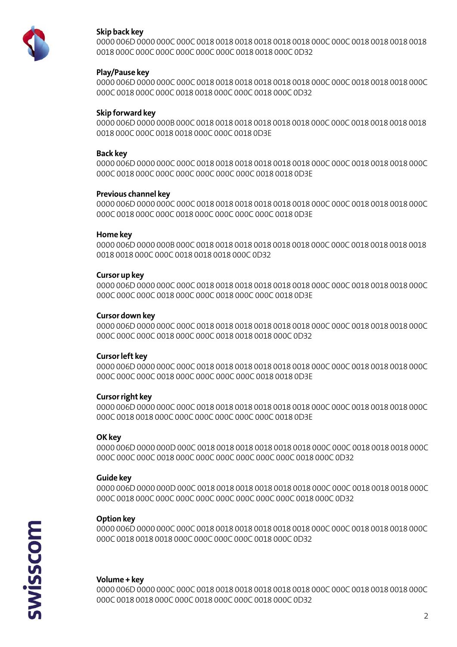

# Skip back key

### Play/Pause key

### Skip forward key

0018 000C 000C 0018 0018 000C 000C 0018 0D3E

### **Back kev**

### **Previous channel key**

### **Home key**

0018 0018 000C 000C 0018 0018 0018 000C 0D32

### Cursor up key

### **Cursor down key**

# **Cursor left key**

# **Cursor right key**

# OK kev

#### **Guide key**

# **Option key**

#### Volume + key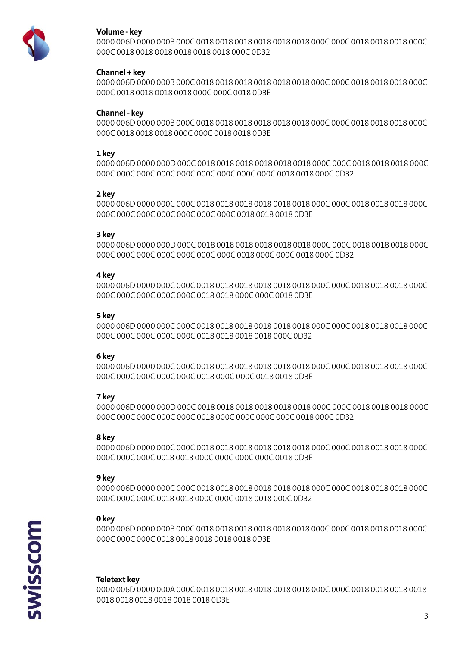

# Volume - key

000C 0018 0018 0018 0018 0018 0018 000C 0D32

# Channel + key

000C 0018 0018 0018 0018 000C 000C 0018 0D3E

### Channel - key

#### 1 kev

### 2 key

### 3 key

### 4 key

# 5 key

#### 6 key

# 7 key

#### 8 kev

#### 9 kev

# 0 key

#### **Teletext key**

0018 0018 0018 0018 0018 0018 0D3E